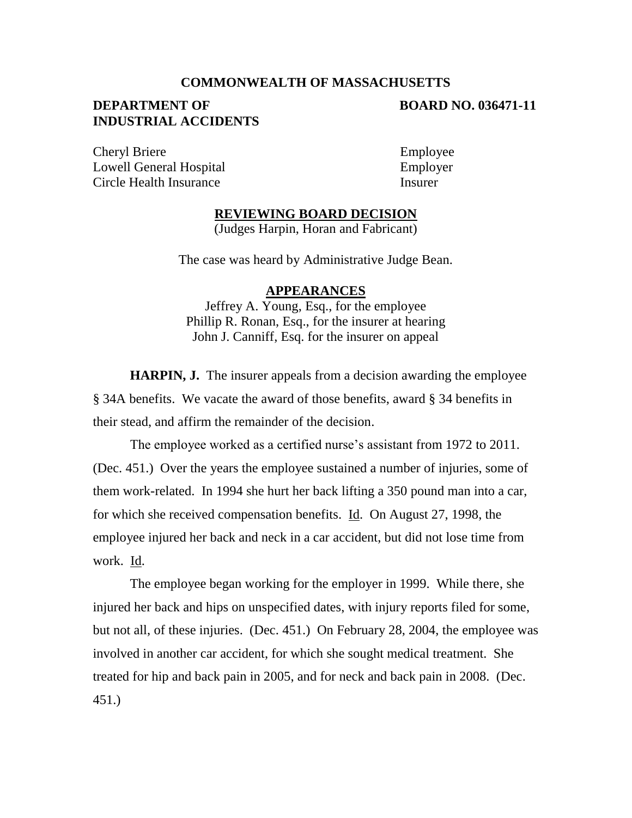# **COMMONWEALTH OF MASSACHUSETTS**

# **DEPARTMENT OF BOARD NO. 036471-11 INDUSTRIAL ACCIDENTS**

Cheryl Briere Employee Lowell General Hospital Employer Circle Health Insurance Insurer

#### **REVIEWING BOARD DECISION**

(Judges Harpin, Horan and Fabricant)

The case was heard by Administrative Judge Bean.

#### **APPEARANCES**

Jeffrey A. Young, Esq., for the employee Phillip R. Ronan, Esq., for the insurer at hearing John J. Canniff, Esq. for the insurer on appeal

**HARPIN, J.** The insurer appeals from a decision awarding the employee § 34A benefits. We vacate the award of those benefits, award § 34 benefits in their stead, and affirm the remainder of the decision.

The employee worked as a certified nurse's assistant from 1972 to 2011. (Dec. 451.) Over the years the employee sustained a number of injuries, some of them work-related. In 1994 she hurt her back lifting a 350 pound man into a car, for which she received compensation benefits. Id. On August 27, 1998, the employee injured her back and neck in a car accident, but did not lose time from work. Id.

The employee began working for the employer in 1999. While there, she injured her back and hips on unspecified dates, with injury reports filed for some, but not all, of these injuries. (Dec. 451.) On February 28, 2004, the employee was involved in another car accident, for which she sought medical treatment. She treated for hip and back pain in 2005, and for neck and back pain in 2008. (Dec. 451.)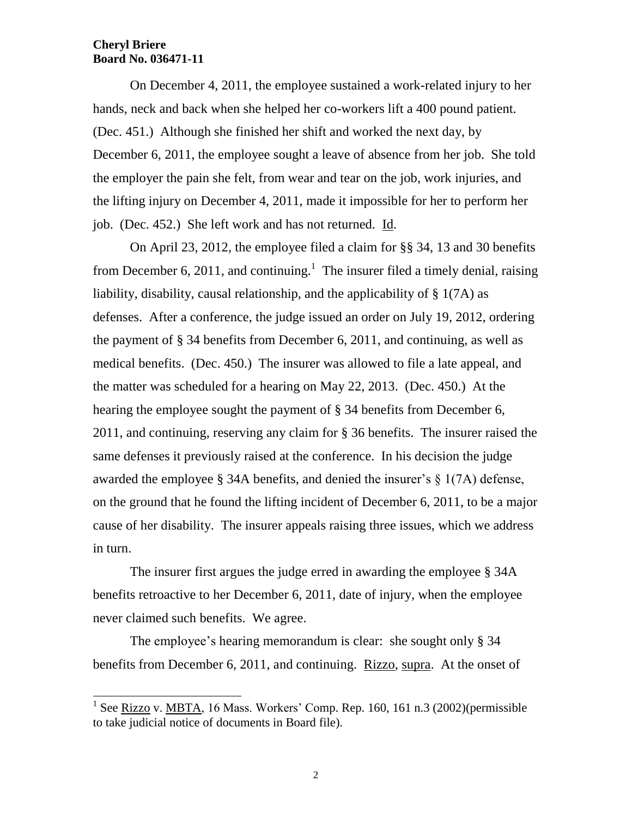On December 4, 2011, the employee sustained a work-related injury to her hands, neck and back when she helped her co-workers lift a 400 pound patient. (Dec. 451.) Although she finished her shift and worked the next day, by December 6, 2011, the employee sought a leave of absence from her job. She told the employer the pain she felt, from wear and tear on the job, work injuries, and the lifting injury on December 4, 2011, made it impossible for her to perform her job. (Dec. 452.) She left work and has not returned. Id.

On April 23, 2012, the employee filed a claim for §§ 34, 13 and 30 benefits from December 6, 2011, and continuing.<sup>1</sup> The insurer filed a timely denial, raising liability, disability, causal relationship, and the applicability of § 1(7A) as defenses. After a conference, the judge issued an order on July 19, 2012, ordering the payment of § 34 benefits from December 6, 2011, and continuing, as well as medical benefits. (Dec. 450.) The insurer was allowed to file a late appeal, and the matter was scheduled for a hearing on May 22, 2013. (Dec. 450.) At the hearing the employee sought the payment of § 34 benefits from December 6, 2011, and continuing, reserving any claim for § 36 benefits. The insurer raised the same defenses it previously raised at the conference. In his decision the judge awarded the employee § 34A benefits, and denied the insurer's § 1(7A) defense, on the ground that he found the lifting incident of December 6, 2011, to be a major cause of her disability. The insurer appeals raising three issues, which we address in turn.

The insurer first argues the judge erred in awarding the employee § 34A benefits retroactive to her December 6, 2011, date of injury, when the employee never claimed such benefits. We agree.

The employee's hearing memorandum is clear: she sought only § 34 benefits from December 6, 2011, and continuing. Rizzo, supra. At the onset of

<sup>&</sup>lt;sup>1</sup> See <u>Rizzo</u> v. MBTA, 16 Mass. Workers' Comp. Rep. 160, 161 n.3 (2002)(permissible to take judicial notice of documents in Board file).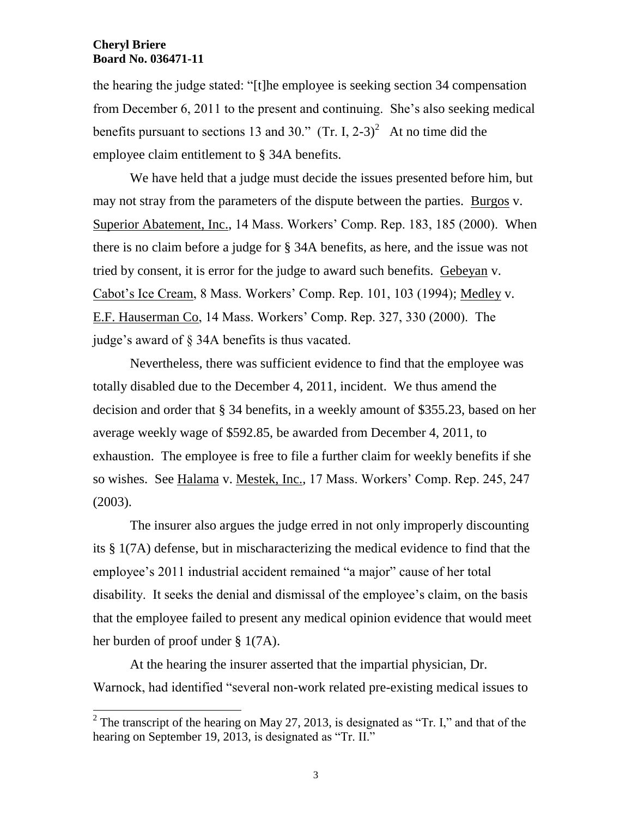the hearing the judge stated: "[t]he employee is seeking section 34 compensation from December 6, 2011 to the present and continuing. She's also seeking medical benefits pursuant to sections 13 and 30." (Tr. I, 2-3)<sup>2</sup> At no time did the employee claim entitlement to § 34A benefits.

We have held that a judge must decide the issues presented before him, but may not stray from the parameters of the dispute between the parties. Burgos v. Superior Abatement, Inc., 14 Mass. Workers' Comp. Rep. 183, 185 (2000). When there is no claim before a judge for § 34A benefits, as here, and the issue was not tried by consent, it is error for the judge to award such benefits. Gebeyan v. Cabot's Ice Cream, 8 Mass. Workers' Comp. Rep. 101, 103 (1994); Medley v. E.F. Hauserman Co, 14 Mass. Workers' Comp. Rep. 327, 330 (2000). The judge's award of § 34A benefits is thus vacated.

Nevertheless, there was sufficient evidence to find that the employee was totally disabled due to the December 4, 2011, incident. We thus amend the decision and order that § 34 benefits, in a weekly amount of \$355.23, based on her average weekly wage of \$592.85, be awarded from December 4, 2011, to exhaustion. The employee is free to file a further claim for weekly benefits if she so wishes. See Halama v. Mestek, Inc., 17 Mass. Workers' Comp. Rep. 245, 247 (2003).

The insurer also argues the judge erred in not only improperly discounting its § 1(7A) defense, but in mischaracterizing the medical evidence to find that the employee's 2011 industrial accident remained "a major" cause of her total disability. It seeks the denial and dismissal of the employee's claim, on the basis that the employee failed to present any medical opinion evidence that would meet her burden of proof under § 1(7A).

At the hearing the insurer asserted that the impartial physician, Dr. Warnock, had identified "several non-work related pre-existing medical issues to

<sup>&</sup>lt;sup>2</sup> The transcript of the hearing on May 27, 2013, is designated as "Tr. I," and that of the hearing on September 19, 2013, is designated as "Tr. II."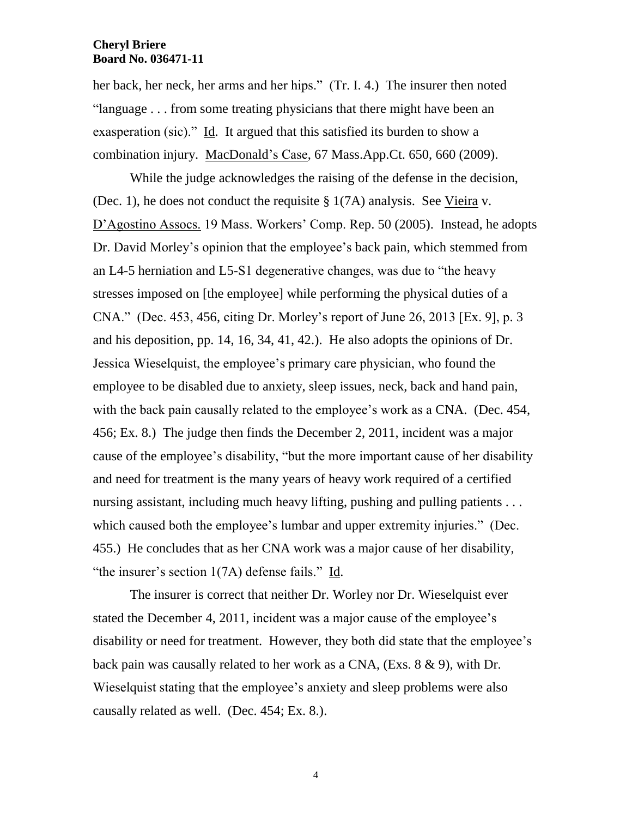her back, her neck, her arms and her hips." (Tr. I. 4.) The insurer then noted "language . . . from some treating physicians that there might have been an exasperation (sic)." Id. It argued that this satisfied its burden to show a combination injury. MacDonald's Case, 67 Mass.App.Ct. 650, 660 (2009).

While the judge acknowledges the raising of the defense in the decision, (Dec. 1), he does not conduct the requisite § 1(7A) analysis. See Vieira v. D'Agostino Assocs. 19 Mass. Workers' Comp. Rep. 50 (2005). Instead, he adopts Dr. David Morley's opinion that the employee's back pain, which stemmed from an L4-5 herniation and L5-S1 degenerative changes, was due to "the heavy stresses imposed on [the employee] while performing the physical duties of a CNA." (Dec. 453, 456, citing Dr. Morley's report of June 26, 2013 [Ex. 9], p. 3 and his deposition, pp. 14, 16, 34, 41, 42.). He also adopts the opinions of Dr. Jessica Wieselquist, the employee's primary care physician, who found the employee to be disabled due to anxiety, sleep issues, neck, back and hand pain, with the back pain causally related to the employee's work as a CNA. (Dec. 454, 456; Ex. 8.) The judge then finds the December 2, 2011, incident was a major cause of the employee's disability, "but the more important cause of her disability and need for treatment is the many years of heavy work required of a certified nursing assistant, including much heavy lifting, pushing and pulling patients ... which caused both the employee's lumbar and upper extremity injuries." (Dec. 455.) He concludes that as her CNA work was a major cause of her disability, "the insurer's section 1(7A) defense fails." Id.

The insurer is correct that neither Dr. Worley nor Dr. Wieselquist ever stated the December 4, 2011, incident was a major cause of the employee's disability or need for treatment. However, they both did state that the employee's back pain was causally related to her work as a CNA, (Exs. 8 & 9), with Dr. Wieselquist stating that the employee's anxiety and sleep problems were also causally related as well. (Dec. 454; Ex. 8.).

4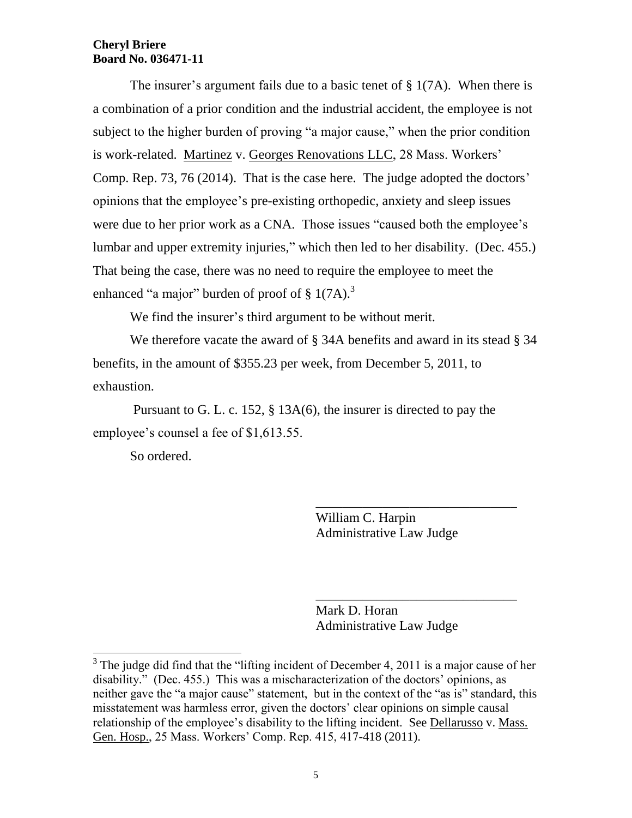The insurer's argument fails due to a basic tenet of § 1(7A). When there is a combination of a prior condition and the industrial accident, the employee is not subject to the higher burden of proving "a major cause," when the prior condition is work-related. Martinez v. Georges Renovations LLC, 28 Mass. Workers' Comp. Rep. 73, 76 (2014). That is the case here. The judge adopted the doctors' opinions that the employee's pre-existing orthopedic, anxiety and sleep issues were due to her prior work as a CNA. Those issues "caused both the employee's lumbar and upper extremity injuries," which then led to her disability. (Dec. 455.) That being the case, there was no need to require the employee to meet the enhanced "a major" burden of proof of  $\S 1(7A)$ .<sup>3</sup>

We find the insurer's third argument to be without merit.

We therefore vacate the award of § 34A benefits and award in its stead § 34 benefits, in the amount of \$355.23 per week, from December 5, 2011, to exhaustion.

Pursuant to G. L. c. 152, § 13A(6), the insurer is directed to pay the employee's counsel a fee of \$1,613.55.

So ordered.

l

William C. Harpin Administrative Law Judge

\_\_\_\_\_\_\_\_\_\_\_\_\_\_\_\_\_\_\_\_\_\_\_\_\_\_\_\_\_\_

\_\_\_\_\_\_\_\_\_\_\_\_\_\_\_\_\_\_\_\_\_\_\_\_\_\_\_\_\_\_

Mark D. Horan Administrative Law Judge

 $3$  The judge did find that the "lifting incident of December 4, 2011 is a major cause of her disability." (Dec. 455.) This was a mischaracterization of the doctors' opinions, as neither gave the "a major cause" statement, but in the context of the "as is" standard, this misstatement was harmless error, given the doctors' clear opinions on simple causal relationship of the employee's disability to the lifting incident. See Dellarusso v. Mass. Gen. Hosp., 25 Mass. Workers' Comp. Rep. 415, 417-418 (2011).